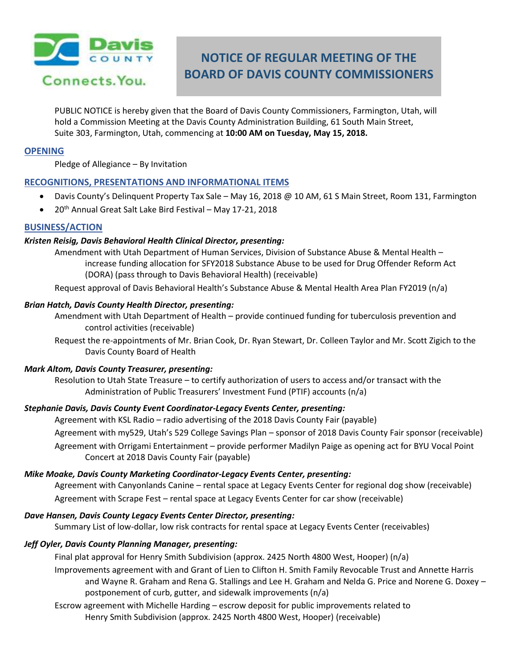

# **NOTICE OF REGULAR MEETING OF THE BOARD OF DAVIS COUNTY COMMISSIONERS**

PUBLIC NOTICE is hereby given that the Board of Davis County Commissioners, Farmington, Utah, will hold a Commission Meeting at the Davis County Administration Building, 61 South Main Street, Suite 303, Farmington, Utah, commencing at **10:00 AM on Tuesday, May 15, 2018.**

## **OPENING**

Pledge of Allegiance – By Invitation

# **RECOGNITIONS, PRESENTATIONS AND INFORMATIONAL ITEMS**

- Davis County's Delinquent Property Tax Sale May 16, 2018 @ 10 AM, 61 S Main Street, Room 131, Farmington
- 20<sup>th</sup> Annual Great Salt Lake Bird Festival May 17-21, 2018

# **BUSINESS/ACTION**

### *Kristen Reisig, Davis Behavioral Health Clinical Director, presenting:*

Amendment with Utah Department of Human Services, Division of Substance Abuse & Mental Health – increase funding allocation for SFY2018 Substance Abuse to be used for Drug Offender Reform Act (DORA) (pass through to Davis Behavioral Health) (receivable)

Request approval of Davis Behavioral Health's Substance Abuse & Mental Health Area Plan FY2019 (n/a)

#### *Brian Hatch, Davis County Health Director, presenting:*

- Amendment with Utah Department of Health provide continued funding for tuberculosis prevention and control activities (receivable)
- Request the re-appointments of Mr. Brian Cook, Dr. Ryan Stewart, Dr. Colleen Taylor and Mr. Scott Zigich to the Davis County Board of Health

#### *Mark Altom, Davis County Treasurer, presenting:*

Resolution to Utah State Treasure – to certify authorization of users to access and/or transact with the Administration of Public Treasurers' Investment Fund (PTIF) accounts (n/a)

# *Stephanie Davis, Davis County Event Coordinator-Legacy Events Center, presenting:*

Agreement with KSL Radio – radio advertising of the 2018 Davis County Fair (payable)

Agreement with my529, Utah's 529 College Savings Plan – sponsor of 2018 Davis County Fair sponsor (receivable)

Agreement with Orrigami Entertainment – provide performer Madilyn Paige as opening act for BYU Vocal Point Concert at 2018 Davis County Fair (payable)

#### *Mike Moake, Davis County Marketing Coordinator-Legacy Events Center, presenting:*

Agreement with Canyonlands Canine – rental space at Legacy Events Center for regional dog show (receivable) Agreement with Scrape Fest – rental space at Legacy Events Center for car show (receivable)

#### *Dave Hansen, Davis County Legacy Events Center Director, presenting:*

Summary List of low-dollar, low risk contracts for rental space at Legacy Events Center (receivables)

# *Jeff Oyler, Davis County Planning Manager, presenting:*

Final plat approval for Henry Smith Subdivision (approx. 2425 North 4800 West, Hooper) (n/a)

Improvements agreement with and Grant of Lien to Clifton H. Smith Family Revocable Trust and Annette Harris and Wayne R. Graham and Rena G. Stallings and Lee H. Graham and Nelda G. Price and Norene G. Doxey – postponement of curb, gutter, and sidewalk improvements (n/a)

Escrow agreement with Michelle Harding – escrow deposit for public improvements related to Henry Smith Subdivision (approx. 2425 North 4800 West, Hooper) (receivable)